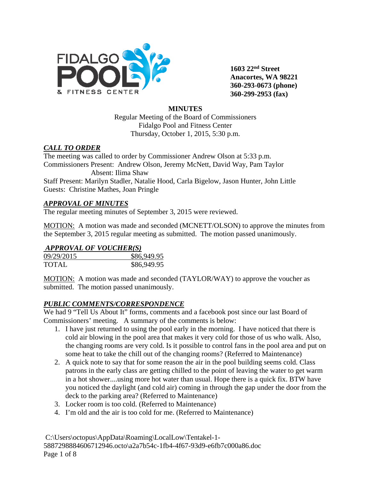

**1603 22nd Street Anacortes, WA 98221 360-293-0673 (phone) 360-299-2953 (fax)**

#### **MINUTES**

Regular Meeting of the Board of Commissioners Fidalgo Pool and Fitness Center Thursday, October 1, 2015, 5:30 p.m.

### *CALL TO ORDER*

The meeting was called to order by Commissioner Andrew Olson at 5:33 p.m. Commissioners Present: Andrew Olson, Jeremy McNett, David Way, Pam Taylor Absent: Ilima Shaw

Staff Present: Marilyn Stadler, Natalie Hood, Carla Bigelow, Jason Hunter, John Little Guests: Christine Mathes, Joan Pringle

#### *APPROVAL OF MINUTES*

The regular meeting minutes of September 3, 2015 were reviewed.

MOTION: A motion was made and seconded (MCNETT/OLSON) to approve the minutes from the September 3, 2015 regular meeting as submitted. The motion passed unanimously.

### *APPROVAL OF VOUCHER(S)*

| 09/29/2015   | \$86,949.95 |
|--------------|-------------|
| <b>TOTAL</b> | \$86,949.95 |

MOTION: A motion was made and seconded (TAYLOR/WAY) to approve the voucher as submitted. The motion passed unanimously.

#### *PUBLIC COMMENTS/CORRESPONDENCE*

We had 9 "Tell Us About It" forms, comments and a facebook post since our last Board of Commissioners' meeting. A summary of the comments is below:

- 1. I have just returned to using the pool early in the morning. I have noticed that there is cold air blowing in the pool area that makes it very cold for those of us who walk. Also, the changing rooms are very cold. Is it possible to control fans in the pool area and put on some heat to take the chill out of the changing rooms? (Referred to Maintenance)
- 2. A quick note to say that for some reason the air in the pool building seems cold. Class patrons in the early class are getting chilled to the point of leaving the water to get warm in a hot shower....using more hot water than usual. Hope there is a quick fix. BTW have you noticed the daylight (and cold air) coming in through the gap under the door from the deck to the parking area? (Referred to Maintenance)
- 3. Locker room is too cold. (Referred to Maintenance)
- 4. I'm old and the air is too cold for me. (Referred to Maintenance)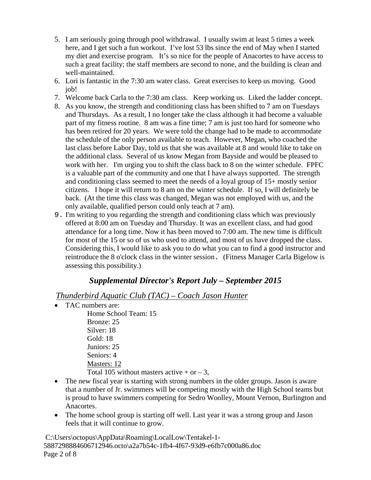- 5. I am seriously going through pool withdrawal. I usually swim at least 5 times a week here, and I get such a fun workout. I've lost 53 lbs since the end of May when I started my diet and exercise program. It's so nice for the people of Anacortes to have access to such a great facility; the staff members are second to none, and the building is clean and well-maintained.
- 6. Lori is fantastic in the 7:30 am water class. Great exercises to keep us moving. Good job!
- 7. Welcome back Carla to the 7:30 am class. Keep working us. Liked the ladder concept.
- 8. As you know, the strength and conditioning class has been shifted to 7 am on Tuesdays and Thursdays. As a result, I no longer take the class although it had become a valuable part of my fitness routine. 8 am was a fine time; 7 am is just too hard for someone who has been retired for 20 years. We were told the change had to be made to accommodate the schedule of the only person available to teach. However, Megan, who coached the last class before Labor Day, told us that she was available at 8 and would like to take on the additional class. Several of us know Megan from Bayside and would be pleased to work with her. I'm urging you to shift the class back to 8 on the winter schedule. FPFC is a valuable part of the community and one that I have always supported. The strength and conditioning class seemed to meet the needs of a loyal group of 15+ mostly senior citizens. I hope it will return to 8 am on the winter schedule. If so, I will definitely be back. (At the time this class was changed, Megan was not employed with us, and the only available, qualified person could only teach at 7 am).
- 9. I'm writing to you regarding the strength and conditioning class which was previously offered at 8:00 am on Tuesday and Thursday. It was an excellent class, and had good attendance for a long time. Now it has been moved to 7:00 am. The new time is difficult for most of the 15 or so of us who used to attend, and most of us have dropped the class. Considering this, I would like to ask you to do what you can to find a good instructor and reintroduce the 8 o'clock class in the winter session. (Fitness Manager Carla Bigelow is assessing this possibility.)

# *Supplemental Director's Report July – September 2015*

*Thunderbird Aquatic Club (TAC) – Coach Jason Hunter*

• TAC numbers are:

Home School Team: 15 Bronze: 25 Silver: 18 Gold: 18 Juniors: 25 Seniors: 4 Masters: 12 Total 105 without masters active  $+$  or  $-3$ ,

- The new fiscal year is starting with strong numbers in the older groups. Jason is aware that a number of Jr. swimmers will be competing mostly with the High School teams but is proud to have swimmers competing for Sedro Woolley, Mount Vernon, Burlington and Anacortes.
- The home school group is starting off well. Last year it was a strong group and Jason feels that it will continue to grow.

C:\Users\octopus\AppData\Roaming\LocalLow\Tentakel-1- 5887298884606712946.octo\a2a7b54c-1fb4-4f67-93d9-e6fb7c000a86.doc Page 2 of 8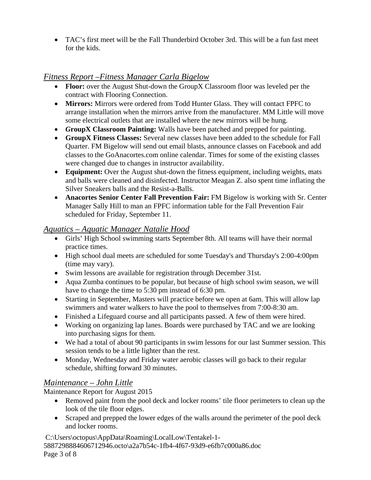• TAC's first meet will be the Fall Thunderbird October 3rd. This will be a fun fast meet for the kids.

# *Fitness Report –Fitness Manager Carla Bigelow*

- **Floor:** over the August Shut-down the GroupX Classroom floor was leveled per the contract with Flooring Connection.
- **Mirrors:** Mirrors were ordered from Todd Hunter Glass. They will contact FPFC to arrange installation when the mirrors arrive from the manufacturer. MM Little will move some electrical outlets that are installed where the new mirrors will be hung.
- *G***roupX Classroom Painting:** Walls have been patched and prepped for painting.
- **GroupX Fitness Classes:** Several new classes have been added to the schedule for Fall Quarter. FM Bigelow will send out email blasts, announce classes on Facebook and add classes to the GoAnacortes.com online calendar. Times for some of the existing classes were changed due to changes in instructor availability.
- **Equipment:** Over the August shut-down the fitness equipment, including weights, mats and balls were cleaned and disinfected. Instructor Meagan Z. also spent time inflating the Silver Sneakers balls and the Resist-a-Balls.
- **Anacortes Senior Center Fall Prevention Fair:** FM Bigelow is working with Sr. Center Manager Sally Hill to man an FPFC information table for the Fall Prevention Fair scheduled for Friday, September 11.

### *Aquatics – Aquatic Manager Natalie Hood*

- Girls' High School swimming starts September 8th. All teams will have their normal practice times.
- High school dual meets are scheduled for some Tuesday's and Thursday's 2:00-4:00pm (time may vary).
- Swim lessons are available for registration through December 31st.
- Aqua Zumba continues to be popular, but because of high school swim season, we will have to change the time to 5:30 pm instead of 6:30 pm.
- Starting in September, Masters will practice before we open at 6am. This will allow lap swimmers and water walkers to have the pool to themselves from 7:00-8:30 am.
- Finished a Lifeguard course and all participants passed. A few of them were hired.
- Working on organizing lap lanes. Boards were purchased by TAC and we are looking into purchasing signs for them.
- We had a total of about 90 participants in swim lessons for our last Summer session. This session tends to be a little lighter than the rest.
- Monday, Wednesday and Friday water aerobic classes will go back to their regular schedule, shifting forward 30 minutes.

# *Maintenance – John Little*

Maintenance Report for August 2015

- Removed paint from the pool deck and locker rooms' tile floor perimeters to clean up the look of the tile floor edges.
- Scraped and prepped the lower edges of the walls around the perimeter of the pool deck and locker rooms.

C:\Users\octopus\AppData\Roaming\LocalLow\Tentakel-1- 5887298884606712946.octo\a2a7b54c-1fb4-4f67-93d9-e6fb7c000a86.doc Page 3 of 8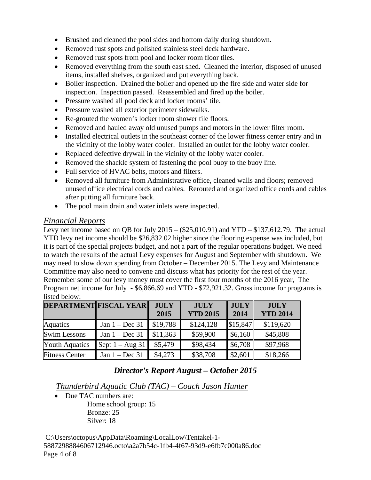- Brushed and cleaned the pool sides and bottom daily during shutdown.
- Removed rust spots and polished stainless steel deck hardware.
- Removed rust spots from pool and locker room floor tiles.
- Removed everything from the south east shed. Cleaned the interior, disposed of unused items, installed shelves, organized and put everything back.
- Boiler inspection. Drained the boiler and opened up the fire side and water side for inspection. Inspection passed. Reassembled and fired up the boiler.
- Pressure washed all pool deck and locker rooms' tile.
- Pressure washed all exterior perimeter sidewalks.
- Re-grouted the women's locker room shower tile floors.
- Removed and hauled away old unused pumps and motors in the lower filter room.
- Installed electrical outlets in the southeast corner of the lower fitness center entry and in the vicinity of the lobby water cooler. Installed an outlet for the lobby water cooler.
- Replaced defective drywall in the vicinity of the lobby water cooler.
- Removed the shackle system of fastening the pool buoy to the buoy line.
- Full service of HVAC belts, motors and filters.
- Removed all furniture from Administrative office, cleaned walls and floors; removed unused office electrical cords and cables. Rerouted and organized office cords and cables after putting all furniture back.
- The pool main drain and water inlets were inspected.

### *Financial Reports*

Levy net income based on QB for July  $2015 - (\$25,010.91)$  and  $YTD - \$137,612.79$ . The actual YTD levy net income should be \$26,832.02 higher since the flooring expense was included, but it is part of the special projects budget, and not a part of the regular operations budget. We need to watch the results of the actual Levy expenses for August and September with shutdown. We may need to slow down spending from October – December 2015. The Levy and Maintenance Committee may also need to convene and discuss what has priority for the rest of the year. Remember some of our levy money must cover the first four months of the 2016 year, The Program net income for July - \$6,866.69 and YTD - \$72,921.32. Gross income for programs is listed below:

|                       | <b>DEPARTMENT FISCAL YEAR</b> | <b>JULY</b> | <b>JULY</b>     | <b>JULY</b> | <b>JULY</b>     |
|-----------------------|-------------------------------|-------------|-----------------|-------------|-----------------|
|                       |                               | 2015        | <b>YTD 2015</b> | 2014        | <b>YTD 2014</b> |
| <b>Aquatics</b>       | Jan $1 - Dec 31$              | \$19,788    | \$124,128       | \$15,847    | \$119,620       |
| <b>Swim Lessons</b>   | Jan $1 - Dec 31$              | \$11,363    | \$59,900        | \$6,160     | \$45,808        |
| <b>Youth Aquatics</b> | Sept $1 - Aug\ 31$            | \$5,479     | \$98,434        | \$6,708     | \$97,968        |
| <b>Fitness Center</b> | Jan $1 - Dec 31$              | \$4,273     | \$38,708        | \$2,601     | \$18,266        |

# *Director's Report August – October 2015*

# *Thunderbird Aquatic Club (TAC) – Coach Jason Hunter*

• Due TAC numbers are:

Home school group: 15 Bronze: 25 Silver: 18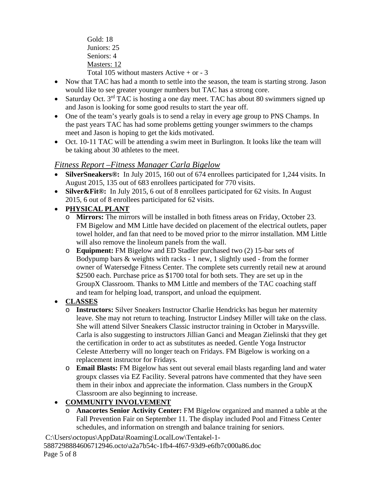Gold: 18 Juniors: 25 Seniors: 4 Masters: 12 Total 105 without masters Active  $+$  or  $-3$ 

- Now that TAC has had a month to settle into the season, the team is starting strong. Jason would like to see greater younger numbers but TAC has a strong core.
- Saturday Oct.  $3<sup>rd</sup> TAC$  is hosting a one day meet. TAC has about 80 swimmers signed up and Jason is looking for some good results to start the year off.
- One of the team's yearly goals is to send a relay in every age group to PNS Champs. In the past years TAC has had some problems getting younger swimmers to the champs meet and Jason is hoping to get the kids motivated.
- Oct. 10-11 TAC will be attending a swim meet in Burlington. It looks like the team will be taking about 30 athletes to the meet.

# *Fitness Report –Fitness Manager Carla Bigelow*

- **SilverSneakers®:** In July 2015, 160 out of 674 enrollees participated for 1,244 visits. In August 2015, 135 out of 683 enrollees participated for 770 visits.
- **Silver & Fit ®:** In July 2015, 6 out of 8 enrollees participated for 62 visits. In August 2015, 6 out of 8 enrollees participated for 62 visits.

### • **PHYSICAL PLANT**

- o **Mirrors:** The mirrors will be installed in both fitness areas on Friday, October 23. FM Bigelow and MM Little have decided on placement of the electrical outlets, paper towel holder, and fan that need to be moved prior to the mirror installation. MM Little will also remove the linoleum panels from the wall.
- o **Equipment:** FM Bigelow and ED Stadler purchased two (2) 15-bar sets of Bodypump bars & weights with racks - 1 new, 1 slightly used - from the former owner of Watersedge Fitness Center. The complete sets currently retail new at around \$2500 each. Purchase price as \$1700 total for both sets. They are set up in the GroupX Classroom. Thanks to MM Little and members of the TAC coaching staff and team for helping load, transport, and unload the equipment.

# • **CLASSES**

- o **Instructors:** Silver Sneakers Instructor Charlie Hendricks has begun her maternity leave. She may not return to teaching. Instructor Lindsey Miller will take on the class. She will attend Silver Sneakers Classic instructor training in October in Marysville. Carla is also suggesting to instructors Jillian Ganci and Meagan Zielinski that they get the certification in order to act as substitutes as needed. Gentle Yoga Instructor Celeste Atterberry will no longer teach on Fridays. FM Bigelow is working on a replacement instructor for Fridays.
- o **Email Blasts:** FM Bigelow has sent out several email blasts regarding land and water groupx classes via EZ Facility. Several patrons have commented that they have seen them in their inbox and appreciate the information. Class numbers in the GroupX Classroom are also beginning to increase.

# • **COMMUNITY INVOLVEMENT**

o **Anacortes Senior Activity Center:** FM Bigelow organized and manned a table at the Fall Prevention Fair on September 11. The display included Pool and Fitness Center schedules, and information on strength and balance training for seniors.

C:\Users\octopus\AppData\Roaming\LocalLow\Tentakel-1- 5887298884606712946.octo\a2a7b54c-1fb4-4f67-93d9-e6fb7c000a86.doc Page 5 of 8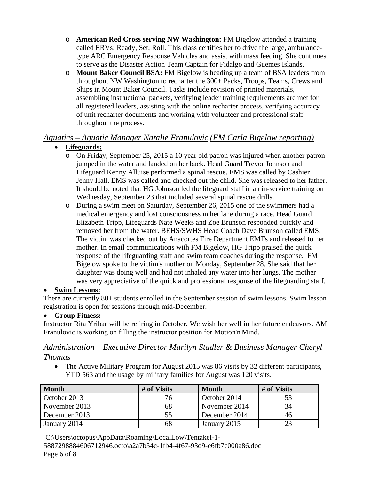- o **American Red Cross serving NW Washington:** FM Bigelow attended a training called ERVs: Ready, Set, Roll. This class certifies her to drive the large, ambulancetype ARC Emergency Response Vehicles and assist with mass feeding. She continues to serve as the Disaster Action Team Captain for Fidalgo and Guemes Islands.
- o **Mount Baker Council BSA:** FM Bigelow is heading up a team of BSA leaders from throughout NW Washington to recharter the 300+ Packs, Troops, Teams, Crews and Ships in Mount Baker Council. Tasks include revision of printed materials, assembling instructional packets, verifying leader training requirements are met for all registered leaders, assisting with the online recharter process, verifying accuracy of unit recharter documents and working with volunteer and professional staff throughout the process.

# *Aquatics – Aquatic Manager Natalie Franulovic (FM Carla Bigelow reporting)*

# • **Lifeguards:**

- o On Friday, September 25, 2015 a 10 year old patron was injured when another patron jumped in the water and landed on her back. Head Guard Trevor Johnson and Lifeguard Kenny Alluise performed a spinal rescue. EMS was called by Cashier Jenny Hall. EMS was called and checked out the child. She was released to her father. It should be noted that HG Johnson led the lifeguard staff in an in-service training on Wednesday, September 23 that included several spinal rescue drills.
- o During a swim meet on Saturday, September 26, 2015 one of the swimmers had a medical emergency and lost consciousness in her lane during a race. Head Guard Elizabeth Tripp, Lifeguards Nate Weeks and Zoe Brunson responded quickly and removed her from the water. BEHS/SWHS Head Coach Dave Brunson called EMS. The victim was checked out by Anacortes Fire Department EMTs and released to her mother. In email communications with FM Bigelow, HG Tripp praised the quick response of the lifeguarding staff and swim team coaches during the response. FM Bigelow spoke to the victim's mother on Monday, September 28. She said that her daughter was doing well and had not inhaled any water into her lungs. The mother was very appreciative of the quick and professional response of the lifeguarding staff.

# • **Swim Lessons:**

There are currently 80+ students enrolled in the September session of swim lessons. Swim lesson registration is open for sessions through mid-December.

# • **Group Fitness:**

Instructor Rita Yribar will be retiring in October. We wish her well in her future endeavors. AM Franulovic is working on filling the instructor position for Motion'n'Mind.

# *Administration – Executive Director Marilyn Stadler & Business Manager Cheryl Thomas*

• The Active Military Program for August 2015 was 86 visits by 32 different participants, YTD 563 and the usage by military families for August was 120 visits.

| <b>Month</b>  | # of Visits | <b>Month</b>  | # of Visits |
|---------------|-------------|---------------|-------------|
| October 2013  | 76          | October 2014  |             |
| November 2013 | 68          | November 2014 | 34          |
| December 2013 | 55          | December 2014 | 40          |
| January 2014  | 68          | January 2015  |             |

C:\Users\octopus\AppData\Roaming\LocalLow\Tentakel-1- 5887298884606712946.octo\a2a7b54c-1fb4-4f67-93d9-e6fb7c000a86.doc Page 6 of 8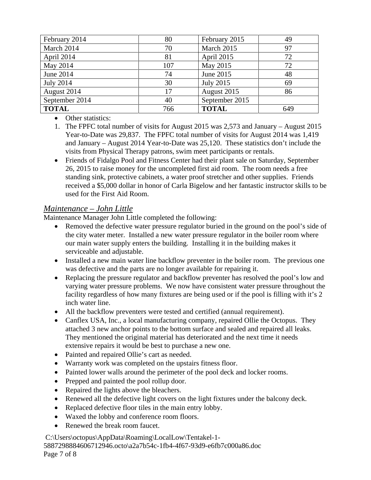| February 2014    | 80  | February 2015    | 49  |
|------------------|-----|------------------|-----|
| March 2014       | 70  | March 2015       | 97  |
| April 2014       | 81  | April 2015       | 72  |
| May 2014         | 107 | May 2015         | 72  |
| June 2014        | 74  | June 2015        | 48  |
| <b>July 2014</b> | 30  | <b>July 2015</b> | 69  |
| August 2014      | 17  | August 2015      | 86  |
| September 2014   | 40  | September 2015   |     |
| <b>TOTAL</b>     | 766 | <b>TOTAL</b>     | 649 |

• Other statistics:

- 1. The FPFC total number of visits for August 2015 was 2,573 and January August 2015 Year-to-Date was 29,837. The FPFC total number of visits for August 2014 was 1,419 and January – August 2014 Year-to-Date was 25,120. These statistics don't include the visits from Physical Therapy patrons, swim meet participants or rentals.
- Friends of Fidalgo Pool and Fitness Center had their plant sale on Saturday, September 26, 2015 to raise money for the uncompleted first aid room. The room needs a free standing sink, protective cabinets, a water proof stretcher and other supplies. Friends received a \$5,000 dollar in honor of Carla Bigelow and her fantastic instructor skills to be used for the First Aid Room.

# *Maintenance – John Little*

Maintenance Manager John Little completed the following:

- Removed the defective water pressure regulator buried in the ground on the pool's side of the city water meter. Installed a new water pressure regulator in the boiler room where our main water supply enters the building. Installing it in the building makes it serviceable and adjustable.
- Installed a new main water line backflow preventer in the boiler room. The previous one was defective and the parts are no longer available for repairing it.
- Replacing the pressure regulator and backflow preventer has resolved the pool's low and varying water pressure problems. We now have consistent water pressure throughout the facility regardless of how many fixtures are being used or if the pool is filling with it's 2 inch water line.
- All the backflow preventers were tested and certified (annual requirement).
- Canflex USA, Inc., a local manufacturing company, repaired Ollie the Octopus. They attached 3 new anchor points to the bottom surface and sealed and repaired all leaks. They mentioned the original material has deteriorated and the next time it needs extensive repairs it would be best to purchase a new one.
- Painted and repaired Ollie's cart as needed.
- Warranty work was completed on the upstairs fitness floor.
- Painted lower walls around the perimeter of the pool deck and locker rooms.
- Prepped and painted the pool rollup door.
- Repaired the lights above the bleachers.
- Renewed all the defective light covers on the light fixtures under the balcony deck.
- Replaced defective floor tiles in the main entry lobby.
- Waxed the lobby and conference room floors.
- Renewed the break room faucet.

C:\Users\octopus\AppData\Roaming\LocalLow\Tentakel-1-

5887298884606712946.octo\a2a7b54c-1fb4-4f67-93d9-e6fb7c000a86.doc Page 7 of 8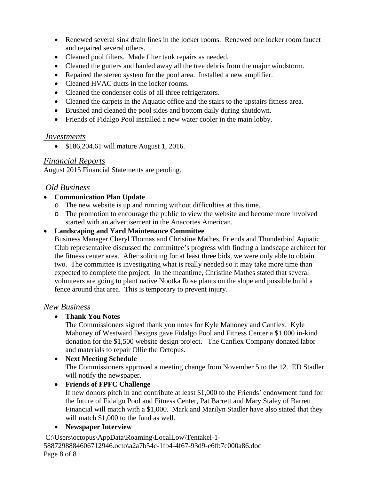- Renewed several sink drain lines in the locker rooms. Renewed one locker room faucet and repaired several others.
- Cleaned pool filters. Made filter tank repairs as needed.
- Cleaned the gutters and hauled away all the tree debris from the major windstorm.
- Repaired the stereo system for the pool area. Installed a new amplifier.
- Cleaned HVAC ducts in the locker rooms.
- Cleaned the condenser coils of all three refrigerators.
- Cleaned the carpets in the Aquatic office and the stairs to the upstairs fitness area.
- Brushed and cleaned the pool sides and bottom daily during shutdown.
- Friends of Fidalgo Pool installed a new water cooler in the main lobby.

#### *Investments*

• \$186,204.61 will mature August 1, 2016.

### *Financial Reports*

August 2015 Financial Statements are pending.

### *Old Business*

#### • **Communication Plan Update**

- o The new website is up and running without difficulties at this time.
- o The promotion to encourage the public to view the website and become more involved started with an advertisement in the Anacortes American.

#### • **Landscaping and Yard Maintenance Committee**

Business Manager Cheryl Thomas and Christine Mathes, Friends and Thunderbird Aquatic Club representative discussed the committee's progress with finding a landscape architect for the fitness center area. After soliciting for at least three bids, we were only able to obtain two. The committee is investigating what is really needed so it may take more time than expected to complete the project. In the meantime, Christine Mathes stated that several volunteers are going to plant native Nootka Rose plants on the slope and possible build a fence around that area. This is temporary to prevent injury.

#### *New Business*

### • **Thank You Notes**

The Commissioners signed thank you notes for Kyle Mahoney and Canflex. Kyle Mahoney of Westward Designs gave Fidalgo Pool and Fitness Center a \$1,000 in-kind donation for the \$1,500 website design project. The Canflex Company donated labor and materials to repair Ollie the Octopus.

### • **Next Meeting Schedule**

The Commissioners approved a meeting change from November 5 to the 12. ED Stadler will notify the newspaper.

### • **Friends of FPFC Challenge**

If new donors pitch in and contribute at least \$1,000 to the Friends' endowment fund for the future of Fidalgo Pool and Fitness Center, Pat Barrett and Mary Staley of Barrett Financial will match with a \$1,000. Mark and Marilyn Stadler have also stated that they will match \$1,000 to the fund as well.

### • **Newspaper Interview**

C:\Users\octopus\AppData\Roaming\LocalLow\Tentakel-1- 5887298884606712946.octo\a2a7b54c-1fb4-4f67-93d9-e6fb7c000a86.doc Page 8 of 8